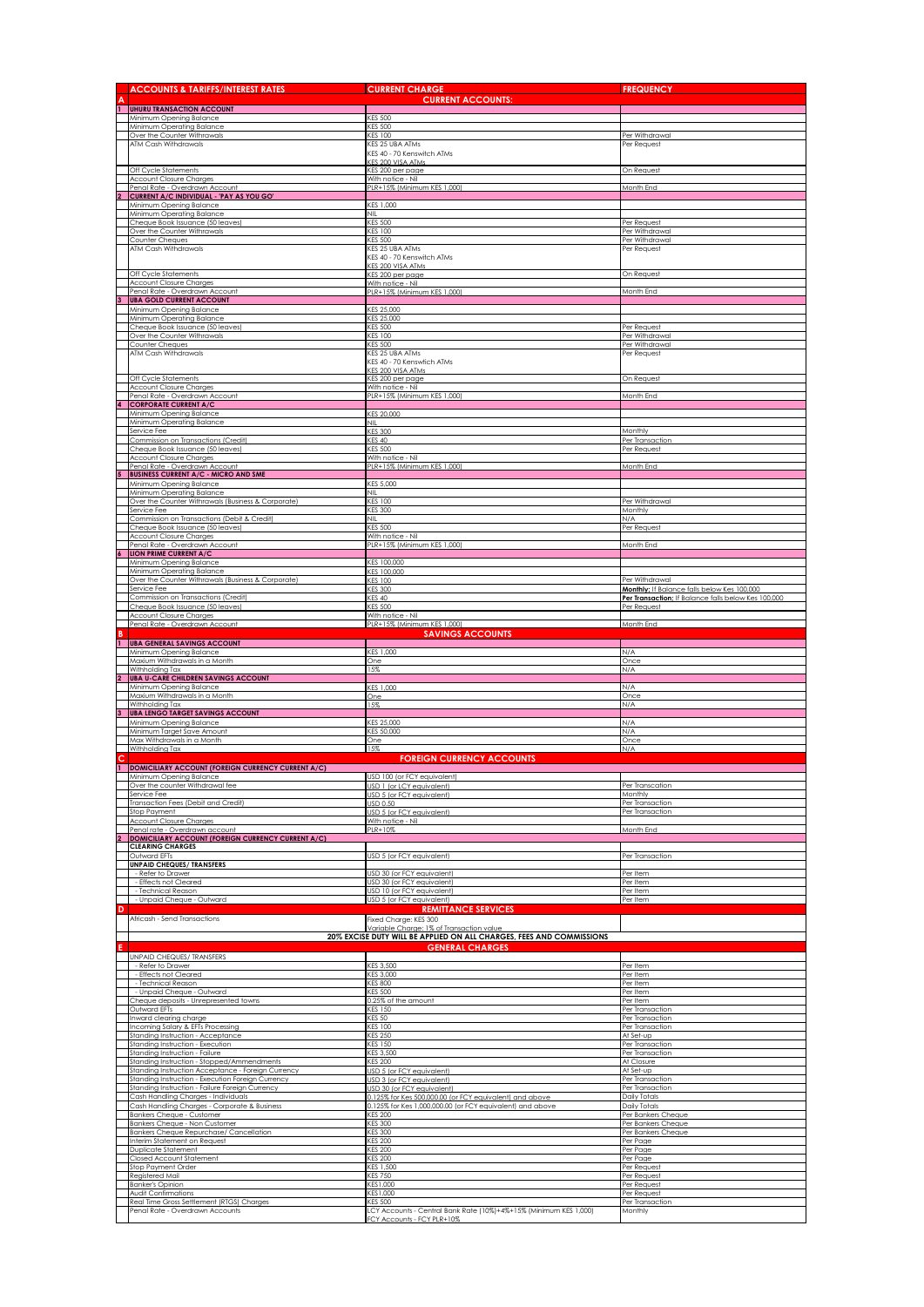|                | <b>ACCOUNTS &amp; TARIFFS/INTEREST RATES</b>                                                         | <b>CURRENT CHARGE</b>                                                                                                | <b>FREQUENCY</b>                                                   |
|----------------|------------------------------------------------------------------------------------------------------|----------------------------------------------------------------------------------------------------------------------|--------------------------------------------------------------------|
| $\overline{1}$ | <b>UHURU TRANSACTION ACCOUNT</b>                                                                     | <b>CURRENT ACCOUNTS:</b>                                                                                             |                                                                    |
|                | Minimum Opening Balance                                                                              | <b>CES 500</b>                                                                                                       |                                                                    |
|                | Minimum Operating Balance<br>Over the Counter Withrawals                                             | <b>KES 500</b><br><b>CES 100</b>                                                                                     | Per Withdrawal                                                     |
|                | ATM Cash Withdrawals                                                                                 | KES 25 UBA ATMs<br>KES 40 - 70 Kenswitch ATMs                                                                        | Per Request                                                        |
|                |                                                                                                      | <b>CES 200 VISA ATMs</b>                                                                                             |                                                                    |
|                | Off Cycle Statements<br><b>Account Closure Charges</b>                                               | <b>ES 200 per page</b><br>With notice - Nil                                                                          | On Request                                                         |
| $\overline{2}$ | Penal Rate - Overdrawn Account<br><b>CURRENT A/C INDIVIDUAL - 'PAY AS YOU GO'</b>                    | PLR+15% (Minimum KES 1,000                                                                                           | Month End                                                          |
|                | Minimum Opening Balance                                                                              | KES 1,000                                                                                                            |                                                                    |
|                | Minimum Operating Balance<br>Cheque Book Issuance (50 leaves)                                        | NIL<br><b>KES 500</b>                                                                                                | Per Request                                                        |
|                | Over the Counter Withrawals<br>Counter Cheques                                                       | <b>KES 100</b><br><b>KES 500</b>                                                                                     | Per Withdrawal<br>Per Withdrawal                                   |
|                | ATM Cash Withdrawals                                                                                 | KES 25 UBA ATMs                                                                                                      | Per Request                                                        |
|                |                                                                                                      | KES 40 - 70 Kenswitch ATMs<br><b>CES 200 VISA ATMS</b>                                                               |                                                                    |
|                | Off Cycle Statements<br><b>Account Closure Charges</b>                                               | KES 200 per page<br>With notice - Nil                                                                                | On Request                                                         |
|                | Penal Rate - Overdrawn Account                                                                       | PLR+15% (Minimum KES 1,000)                                                                                          | Month End                                                          |
|                | <b>UBA GOLD CURRENT ACCOUNT</b><br>Minimum Opening Balance                                           | KES 25,000                                                                                                           |                                                                    |
|                | Minimum Operating Balance<br>Cheque Book Issuance (50 leaves)                                        | KES 25,000<br><b>KES 500</b>                                                                                         | Per Request                                                        |
|                | Over the Counter Withrawals                                                                          | <b>KES 100</b>                                                                                                       | Per Withdrawal                                                     |
|                | Counter Cheques<br>ATM Cash Withdrawals                                                              | <b>KES 500</b><br>KES 25 UBA ATMs                                                                                    | Per Withdrawal<br>Per Request                                      |
|                |                                                                                                      | KES 40 - 70 Kenswfich ATMs<br>CES 200 VISA ATMs                                                                      |                                                                    |
|                | Off Cycle Statements                                                                                 | KES 200 per page                                                                                                     | On Request                                                         |
|                | <b>Account Closure Charges</b><br>Penal Rate - Overdrawn Account                                     | With notice - Nil<br>PLR+15% (Minimum KES 1,000)                                                                     | Month End                                                          |
|                | <b>CORPORATE CURRENT A/C</b><br>Minimum Opening Balance                                              | KES 20,000                                                                                                           |                                                                    |
|                | Minimum Operating Balance                                                                            | NIL.                                                                                                                 |                                                                    |
|                | Service Fee<br>Commission on Transactions (Credit)                                                   | <b>KES 300</b><br>KES 40                                                                                             | Monthly<br>Per Transaction                                         |
|                | Cheque Book Issuance (50 leaves)<br><b>Account Closure Charges</b>                                   | <b>KES 500</b><br>With notice - Nil                                                                                  | Per Request                                                        |
|                | Penal Rate - Overdrawn Account                                                                       | PLR+15% (Minimum KES 1,000)                                                                                          | Month End                                                          |
|                | <b>BUSINESS CURRENT A/C - MICRO AND SME</b><br>Minimum Opening Balance                               | KES 5,000                                                                                                            |                                                                    |
|                | Minimum Operating Balance<br>Over the Counter Withrawals (Business & Corporate)                      | NIL<br><b>KES 100</b>                                                                                                | Per Withdrawal                                                     |
|                | Service Fee<br>Commission on Transactions (Debit & Credit)                                           | <b>KES 300</b><br>NIL                                                                                                | Monthly<br>N/A                                                     |
|                | Cheque Book Issuance (50 leaves)                                                                     | <b>KES 500</b>                                                                                                       | Per Request                                                        |
|                | <b>Account Closure Charges</b><br>Penal Rate - Overdrawn Account                                     | With notice - Nil<br>PLR+15% (Minimum KES 1,000)                                                                     | Month End                                                          |
|                | LION PRIME CURRENT A/C<br>Minimum Opening Balance                                                    | KES 100,000                                                                                                          |                                                                    |
|                | Minimum Operating Balance                                                                            | KES 100,000                                                                                                          |                                                                    |
|                | Over the Counter Withrawals (Business & Corporate)<br>Service Fee                                    | <b>KES 100</b><br><b>KES 300</b>                                                                                     | Per Withdrawal<br>Monthly; If Balance falls below Kes 100,000      |
|                | Commission on Transactions (Credit)<br>Cheque Book Issuance (50 leaves)                              | <b>KES 40</b><br><b>KES 500</b>                                                                                      | Per Transaction; If Balance falls below Kes 100,000<br>Per Request |
|                | <b>Account Closure Charges</b><br>Penal Rate - Overdrawn Account                                     | With notice - Nil<br>PLR+15% (Minimum KES 1.000)                                                                     | Month End                                                          |
| R              |                                                                                                      | <b>SAVINGS ACCOUNTS</b>                                                                                              |                                                                    |
| $\mathbf{1}$   | <b>UBA GENERAL SAVINGS ACCOUNT</b><br>Minimum Opening Balance                                        | KES 1,000                                                                                                            | N/A                                                                |
|                |                                                                                                      |                                                                                                                      |                                                                    |
|                | Maxium Withdrawals in a Month                                                                        | One                                                                                                                  | Once                                                               |
| $\overline{2}$ | Withholding Tax<br><b>UBA U-CARE CHILDREN SAVINGS ACCOUNT</b>                                        | 15%                                                                                                                  | N/A                                                                |
|                | Minimum Opening Balance<br>Maxium Withdrawals in a Month                                             | KES 1,000<br>One                                                                                                     | N/A<br>Once                                                        |
|                | Withholding Tax<br><b>UBA LENGO TARGET SAVINGS ACCOUNT</b>                                           | 15%                                                                                                                  | N/A                                                                |
| 3              | Minimum Opening Balance                                                                              | KES 25,000                                                                                                           | N/A                                                                |
|                | Minimum Target Save Amount<br>Max Withdrawals in a Month                                             | KES 50,000<br>One                                                                                                    | N/A<br>Once                                                        |
|                | Withholding Tax                                                                                      | 15%<br><b>FOREIGN CURRENCY ACCOUNTS</b>                                                                              | N/A                                                                |
|                | 1 DOMICILIARY ACCOUNT (FOREIGN CURRENCY CURRENT A/C)                                                 |                                                                                                                      |                                                                    |
|                | Minimum Opening Balance<br>Over the counter Withdrawal fee                                           | USD 100 (or FCY equivalent)<br>USD 1 (or LCY equivalent)                                                             | Per Transcation                                                    |
|                | Service Fee<br>Transaction Fees (Debit and Credit)                                                   | USD 5 (or FCY equivalent)<br>JSD 0.50                                                                                | Monthly<br>Per Transaction                                         |
|                | Stop Payment<br><b>Account Closure Charges</b>                                                       | USD 5 (or FCY equivalent)<br>With notice - Nil                                                                       | Per Transaction                                                    |
|                | Penal rate - Overdrawn account                                                                       | PLR+10%                                                                                                              | Month End                                                          |
| $\overline{2}$ | <b>DOMICILIARY ACCOUNT (FOREIGN CURRENCY CURRENT A/C)</b><br><b>CLEARING CHARGES</b>                 |                                                                                                                      |                                                                    |
|                | Outward EFTs<br><b>UNPAID CHEQUES/ TRANSFERS</b>                                                     | USD 5 (or FCY equivalent)                                                                                            | Per Transaction                                                    |
|                | - Refer to Drawer<br><b>Effects not Cleared</b>                                                      | JSD 30 (or FCY equivalent)<br>USD 30 (or FCY eauivalent)                                                             | Per Item<br>Per Item                                               |
|                | - Technical Reason                                                                                   | USD 10 (or FCY equivalent)                                                                                           | Per Item                                                           |
| D              | - Unpaid Cheque - Outward                                                                            | USD 5 (or FCY equivalent)<br><b>REMITTANCE SERVICES</b>                                                              | Per Item                                                           |
|                | Africash - Send Transactions                                                                         | Fixed Charge: KES 300                                                                                                |                                                                    |
|                |                                                                                                      | ariable Charae: 1% of Transaction value<br>20% EXCISE DUTY WILL BE APPLIED ON ALL CHARGES, FEES AND COMMISSIONS      |                                                                    |
|                | <b>UNPAID CHEQUES/ TRANSFERS</b>                                                                     | <b>GENERAL CHARGES</b>                                                                                               |                                                                    |
|                | - Refer to Drawer                                                                                    | KES 3,500                                                                                                            | Per Item                                                           |
|                | - Effects not Cleared<br>- Technical Reason                                                          | KES 3,000<br><b>KES 800</b>                                                                                          | Per Item<br>Per Item                                               |
|                | - Unpaid Cheque - Outward<br>Cheque deposits - Unrepresented towns                                   | <b>CES 500</b><br>0.25% of the amount                                                                                | Per Item<br>Per Item                                               |
|                | Outward EFTs                                                                                         | <b>ES 150</b>                                                                                                        | Per Transaction                                                    |
|                | Inward clearing charge<br>Incoming Salary & EFTs Processing                                          | <b>CES 50</b><br><b>ES 100</b>                                                                                       | Per Transaction<br>Per Transaction                                 |
|                | Standing Instruction - Acceptance<br>Standing Instruction - Execution                                | <b>KES 250</b><br><b>CES 150</b>                                                                                     | At Set-up<br>Per Transaction                                       |
|                | Standing Instruction - Failure                                                                       | <b>CES 3,500</b><br><b>CES 200</b>                                                                                   | Per Transaction                                                    |
|                | Standing Instruction - Stopped/Ammendments<br>Standing Instruction Acceptance - Foreign Currency     | USD 5 (or FCY equivalent)                                                                                            | At Closure<br>At Set-up                                            |
|                | Standing Instruction - Execution Foreign Currency<br>Standing Instruction - Failure Foreign Currency | USD 3 (or FCY equivalent)<br>USD 30 (or FCY equivalent)                                                              | Per Transaction<br>Per Transaction                                 |
|                | Cash Handling Charges - Individuals<br>Cash Handling Charges - Corporate & Business                  | 0.125% for Kes 500,000.00 (or FCY equivalent) and above<br>0.125% for Kes 1,000,000.00 (or FCY equivalent) and above | <b>Daily Totals</b><br>Daily Totals                                |
|                | Bankers Cheque - Customer                                                                            | <b>KES 200</b><br><b>KES 300</b>                                                                                     | Per Bankers Cheque<br>Per Bankers Cheque                           |
|                | <b>Bankers Cheque - Non Customer</b><br>Bankers Cheque Repurchase/ Cancellation                      | <b>CES 300</b>                                                                                                       | Per Bankers Cheque                                                 |
|                | Interim Statement on Request<br>Duplicate Statement                                                  | <b>CES 200</b><br><b>KES 200</b>                                                                                     | Per Page<br>Per Page                                               |
|                | Closed Account Statement<br>Stop Payment Order                                                       | <b>KES 200</b><br><b>KES 1,500</b>                                                                                   | Per Page<br>Per Request                                            |
|                | Registered Mail                                                                                      | <b>CES 750</b>                                                                                                       | Per Request                                                        |
|                | <b>Banker's Opinion</b><br>Audit Confirmations<br>Real Time Gross Settlement (RTGS) Charges          | CES 1,000<br>KES1,000<br><b>CES 500</b>                                                                              | Per Request<br>Per Request<br>Per Transaction                      |